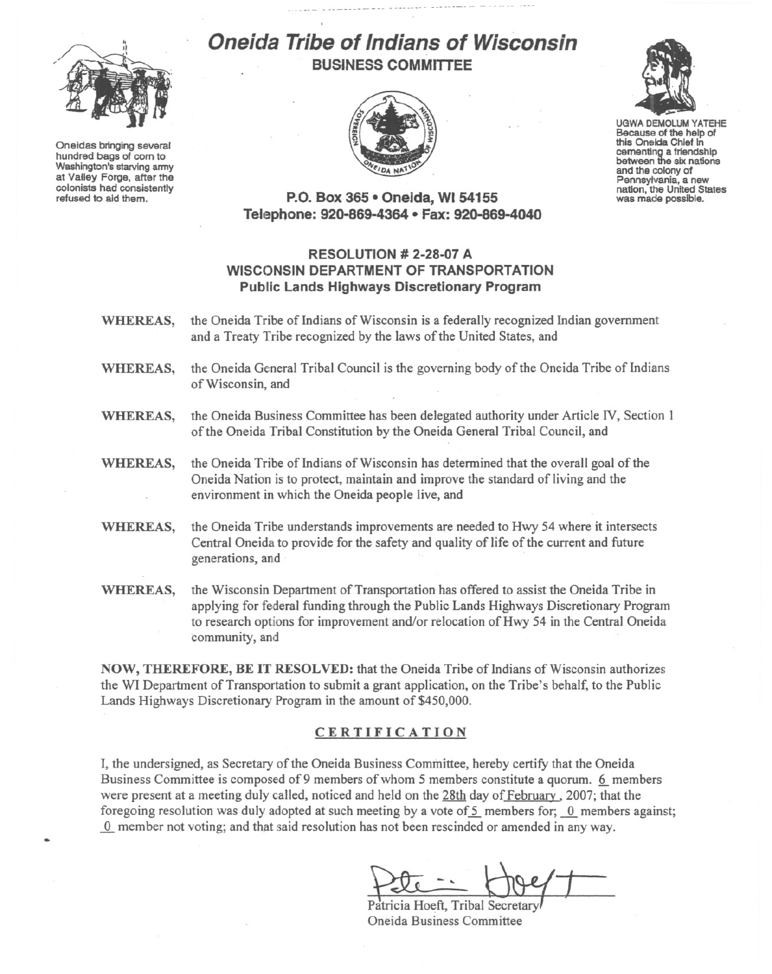

Oneidas bringing several hundred bags of corn to Washington's starving army at Valley Forge, after the refused to aid them.

## **Oneicfa Tribe of Indians of Wisconsin BUSINESS COMMITTEE**





UGWA DEMOLUM YATEHE Because of the help of this Oneida Chief In cementing a friendship<br>between the six nations and the colony of<br>Pennsylvania, a new nation, the United States<br>was made possible.

**P.o. Box 365· Oneida,** WI 54155 **Tell:!phone: 920-869-4364 • Fax: 920-869-4040**

## **RESOLUTION # 2-28-07 A WISCONSIN DEPARTMENT OF TRANSPORTATION Public Lands Highways Discretionary Program**

- WHEREAS, the Oneida Tribe of Indians of Wisconsin is a federally recognized Indian government and a Treaty Tribe recognized by the laws of the United States, and
- WHEREAS, the Oneida General Tribal Council is the governing body of the Oneida Tribe of Indians of Wisconsin, and
- WHEREAS, the Oneida Business Committee has been delegated authority under Article IV, Section 1 of the Oneida Tribal Constitution by the Oneida General Tribal Council, and
- WHEREAS, the Oneida Tribe of Indians of Wisconsin has determined that the overall goal of the Oneida Nation is to protect, maintain and improve the standard of living and the environment in which the Oneida people live, and
- WHEREAS, the Oneida Tribe understands improvements are needed to Hwy 54 where it intersects Central Oneida to provide for the safety and quality of life of the current and future generations, and
- WHEREAS, the Wisconsin Department of Transportation has offered to assist the Oneida Tribe in applying for federal funding through the Public Lands Highways Discretionary Program to research options for improvement and/or relocation of Hwy 54 in the Central Oneida community, and

NOW, THEREFORE, BE IT RESOLVED: that the Oneida Tribe of Indians of Wisconsin authorizes the WI Department of Transportation to submit a grant application, on the Tribe's behalf, to the Public Lands Highways Discretionary Program in the amount of \$450,000.

## CERTIFICATION

I, the undersigned, as Secretary of the Oneida Business Committee, hereby certify that the Oneida Business Committee is composed of 9 members of whom 5 members constitute a quorum. 6 members were present at a meeting duly called, noticed and held on the 28th day of February, 2007; that the foregoing resolution was duly adopted at such meeting by a vote of 5 members for; 0 members against;  $\alpha$  member not voting; and that said resolution has not been rescinded or amended in any way.

Patricia Hoeft, Tribal Secretary Oneida Business Committee